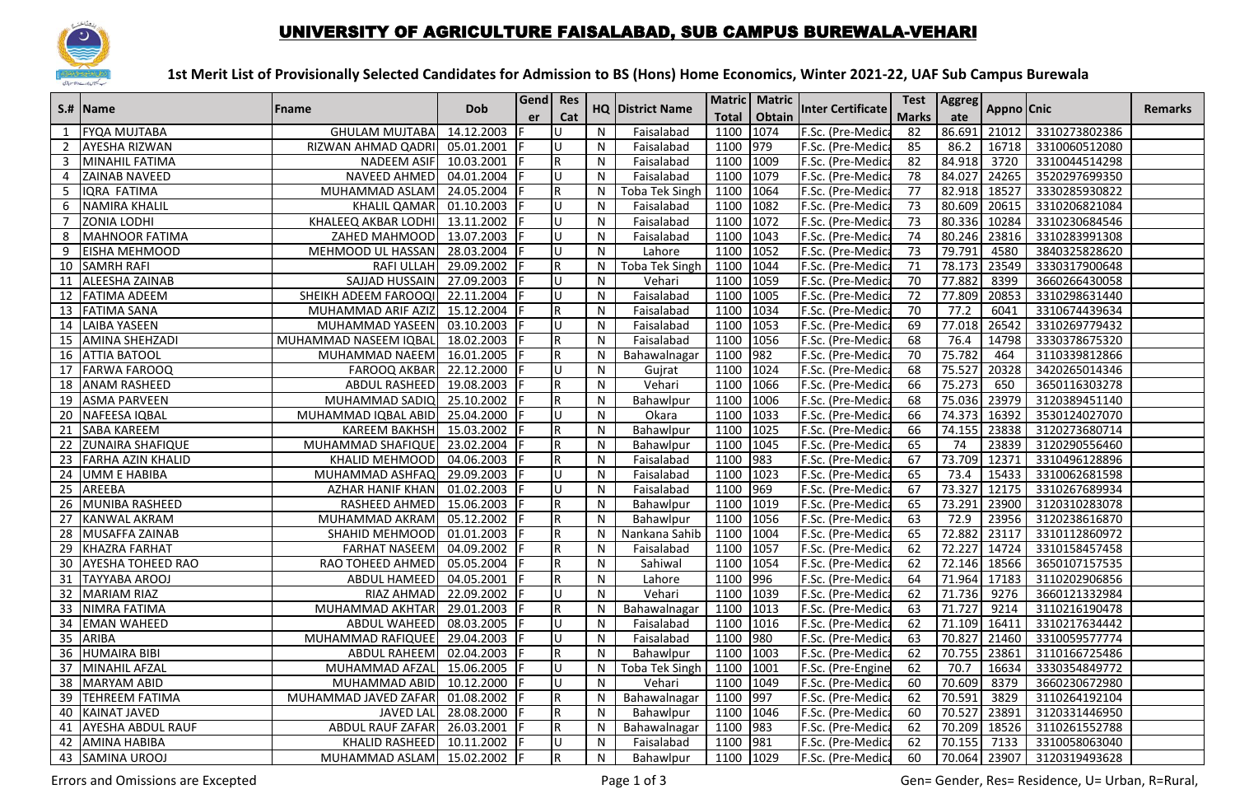

## UNIVERSITY OF AGRICULTURE FAISALABAD, SUB CAMPUS BUREWALA-VEHARI

## **1st Merit List of Provisionally Selected Candidates for Admission to BS (Hons) Home Economics, Winter 2021-22, UAF Sub Campus Burewala**

|                | S.#  Name                | <b>Fname</b>              | <b>Dob</b> | Gend Res | Cat          |              | <b>HQ District Name</b> |                      | Matric   Matric | <b>Inter Certificate</b> | <b>Marks</b>    | Test   Aggreg   | Appno Cnic |               | <b>Remarks</b> |
|----------------|--------------------------|---------------------------|------------|----------|--------------|--------------|-------------------------|----------------------|-----------------|--------------------------|-----------------|-----------------|------------|---------------|----------------|
|                | <b>FYQA MUJTABA</b>      | <b>GHULAM MUJTABA</b>     | 14.12.2003 | er       |              | N            | Faisalabad              | <b>Total</b><br>1100 | Obtain<br>1074  | F.Sc. (Pre-Medica        | 82              | ate<br>86.691   | 21012      | 3310273802386 |                |
| $\overline{2}$ | <b>AYESHA RIZWAN</b>     | RIZWAN AHMAD QADRI        | 05.01.2001 |          | U            | N            | Faisalabad              | 1100                 | 979             | F.Sc. (Pre-Medic         | 85              | 86.2            | 16718      | 3310060512080 |                |
| 3              | <b>MINAHIL FATIMA</b>    | NADEEM ASIF               | 10.03.2001 |          | R            | N            | Faisalabad              | 1100                 | 1009            | F.Sc. (Pre-Medica        | 82              | 84.918          | 3720       | 3310044514298 |                |
| 4              | <b>ZAINAB NAVEED</b>     | NAVEED AHMED              | 04.01.2004 |          | U            | N            | Faisalabad              | 1100                 | 1079            | F.Sc. (Pre-Medic         | 78              | 84.027          | 24265      | 3520297699350 |                |
| 5              | IQRA FATIMA              | MUHAMMAD ASLAM            | 24.05.2004 |          | R.           | N            | <b>Toba Tek Singh</b>   | 1100                 | 1064            | F.Sc. (Pre-Medic         | 77              | 82.918 18527    |            | 3330285930822 |                |
| 6              | NAMIRA KHALIL            | <b>KHALIL QAMAR</b>       | 01.10.2003 |          | U            | N            | Faisalabad              | 1100                 | 1082            | F.Sc. (Pre-Medic         | 73              | 80.609 20615    |            | 3310206821084 |                |
| $\overline{7}$ | <b>ZONIA LODHI</b>       | KHALEEQ AKBAR LODHI       | 13.11.2002 |          | U            | N            | Faisalabad              | 1100                 | 1072            | F.Sc. (Pre-Medic         | 73              | 80.336          | 10284      | 3310230684546 |                |
| 8              | <b>IMAHNOOR FATIMA</b>   | ZAHED MAHMOOD             | 13.07.2003 |          | U            | N            | Faisalabad              | 1100                 | 1043            | F.Sc. (Pre-Medic         | 74              | 80.246          | 23816      | 3310283991308 |                |
| 9              | <b>EISHA MEHMOOD</b>     | MEHMOOD UL HASSAN         | 28.03.2004 |          | U            | N            | Lahore                  | 1100                 | 1052            | F.Sc. (Pre-Medic         | $\overline{73}$ | 79.791          | 4580       | 3840325828620 |                |
|                | 10 SAMRH RAFI            | <b>RAFI ULLAH</b>         | 29.09.2002 |          | R.           | N            | <b>Toba Tek Singh</b>   | 1100                 | 1044            | F.Sc. (Pre-Medica        | 71              | 78.173          | 23549      | 3330317900648 |                |
| 11             | ALEESHA ZAINAB           | SAJJAD HUSSAIN            | 27.09.2003 |          | U            | N            | Vehari                  | 1100                 | 1059            | F.Sc. (Pre-Medic         | $\overline{70}$ | 77.882          | 8399       | 3660266430058 |                |
|                | 12 FATIMA ADEEM          | SHEIKH ADEEM FAROOQI      | 22.11.2004 |          | U            | N            | Faisalabad              | 1100                 | 1005            | F.Sc. (Pre-Medic         | 72              | 77.809          | 20853      | 3310298631440 |                |
|                | 13 FATIMA SANA           | MUHAMMAD ARIF AZIZ        | 15.12.2004 |          | R            | N            | Faisalabad              | 1100                 | 1034            | F.Sc. (Pre-Medica        | 70              | 77.2            | 6041       | 3310674439634 |                |
|                | 14 LAIBA YASEEN          | MUHAMMAD YASEEN           | 03.10.2003 |          | U            | $\mathsf{N}$ | Faisalabad              | 1100                 | 1053            | F.Sc. (Pre-Medic         | 69              | 77.018          | 26542      | 3310269779432 |                |
|                | 15 AMINA SHEHZADI        | MUHAMMAD NASEEM IQBAL     | 18.02.2003 |          | R.           | N            | Faisalabad              | 1100                 | 1056            | F.Sc. (Pre-Medic         | 68              | 76.4            | 14798      | 3330378675320 |                |
|                | <b>16 JATTIA BATOOL</b>  | MUHAMMAD NAEEM            | 16.01.2005 |          | $\mathsf{R}$ | N            | Bahawalnagar            | 1100                 | 982             | F.Sc. (Pre-Medic         | 70              | 75.782          | 464        | 3110339812866 |                |
|                | 17 FARWA FAROOQ          | <b>FAROOQ AKBAR</b>       | 22.12.2000 |          | U            | $\mathsf{N}$ | Gujrat                  | 1100                 | 1024            | F.Sc. (Pre-Medica        | 68              | 75.527          | 20328      | 3420265014346 |                |
| 18             | <b>ANAM RASHEED</b>      | <b>ABDUL RASHEED</b>      | 19.08.2003 |          | R.           | N            | Vehari                  | 1100                 | 1066            | F.Sc. (Pre-Medic         | 66              | 75.273          | 650        | 3650116303278 |                |
|                | 19 ASMA PARVEEN          | MUHAMMAD SADIQ            | 25.10.2002 |          | R            | N            | Bahawlpur               | 1100                 | 1006            | F.Sc. (Pre-Medic         | 68              | 75.036 23979    |            | 3120389451140 |                |
| 20             | NAFEESA IQBAL            | MUHAMMAD IQBAL ABID       | 25.04.2000 |          | U            | N            | Okara                   | 1100                 | 1033            | F.Sc. (Pre-Medic         | 66              | 74.373          | 16392      | 3530124027070 |                |
| 21             | <b>SABA KAREEM</b>       | <b>KAREEM BAKHSH</b>      | 15.03.2002 |          | R.           | N            | Bahawlpur               | 1100                 | 1025            | F.Sc. (Pre-Medic         | 66              | 74.155          | 23838      | 3120273680714 |                |
|                | 22 ZUNAIRA SHAFIQUE      | MUHAMMAD SHAFIQUE         | 23.02.2004 |          | $\mathsf R$  | $\mathsf{N}$ | Bahawlpur               | 1100                 | 1045            | F.Sc. (Pre-Medica        | 65              | $\overline{74}$ | 23839      | 3120290556460 |                |
| 23             | <b>FARHA AZIN KHALID</b> | <b>KHALID MEHMOOD</b>     | 04.06.2003 |          | R.           | N            | Faisalabad              | 1100                 | 983             | F.Sc. (Pre-Medic         | 67              | 73.709          | 12371      | 3310496128896 |                |
| 24             | <b>UMM E HABIBA</b>      | MUHAMMAD ASHFAQ           | 29.09.2003 |          |              | $\mathsf{N}$ | Faisalabad              | 1100                 | 1023            | F.Sc. (Pre-Medic         | 65              | 73.4            | 15433      | 3310062681598 |                |
| 25             | <b>AREEBA</b>            | <b>AZHAR HANIF KHAN</b>   | 01.02.2003 |          | U            | N            | Faisalabad              | 1100                 | 969             | F.Sc. (Pre-Medic         | 67              | 73.327          | 12175      | 3310267689934 |                |
|                | 26 MUNIBA RASHEED        | RASHEED AHMED             | 15.06.2003 |          | R            | N            | Bahawlpur               | 1100                 | 1019            | F.Sc. (Pre-Medica        | 65              | 73.291          | 23900      | 3120310283078 |                |
| 27             | KANWAL AKRAM             | MUHAMMAD AKRAM            | 05.12.2002 |          | R            | $\mathsf{N}$ | Bahawlpur               | 1100                 | 1056            | F.Sc. (Pre-Medic         | 63              | 72.9            | 23956      | 3120238616870 |                |
| 28             | <b>MUSAFFA ZAINAB</b>    | SHAHID MEHMOOD            | 01.01.2003 |          | $\mathsf{R}$ | N            | Nankana Sahib           | 1100                 | 1004            | F.Sc. (Pre-Medic         | 65              | 72.882          | 23117      | 3310112860972 |                |
|                | 29 KHAZRA FARHAT         | <b>FARHAT NASEEM</b>      | 04.09.2002 |          | R            | N            | Faisalabad              | 1100                 | 1057            | F.Sc. (Pre-Medic         | 62              | 72.227          | 14724      | 3310158457458 |                |
| 30             | <b>AYESHA TOHEED RAO</b> | RAO TOHEED AHMED          | 05.05.2004 |          | R            | $\mathsf{N}$ | Sahiwal                 | 1100                 | 1054            | F.Sc. (Pre-Medic         | 62              | 72.146          | 18566      | 3650107157535 |                |
|                | 31 TAYYABA AROOJ         | ABDUL HAMEED              | 04.05.2001 |          | R.           | N            | Lahore                  | 1100                 | 996             | F.Sc. (Pre-Medic         | 64              | 71.964          | 17183      | 3110202906856 |                |
|                | 32 MARIAM RIAZ           | <b>RIAZ AHMAD</b>         | 22.09.2002 |          | U            | N            | Vehari                  | 1100                 | 1039            | F.Sc. (Pre-Medica        | 62              | 71.736          | 9276       | 3660121332984 |                |
| 33             | NIMRA FATIMA             | MUHAMMAD AKHTAR           | 29.01.2003 |          | R.           | N            | Bahawalnagar            | 1100                 | 1013            | F.Sc. (Pre-Medic         | 63              | 71.727          | 9214       | 3110216190478 |                |
| 34             | <b>EMAN WAHEED</b>       | <b>ABDUL WAHEED</b>       | 08.03.2005 |          | U            | N            | Faisalabad              | 1100                 | 1016            | F.Sc. (Pre-Medic         | 62              | 71.109          | 16411      | 3310217634442 |                |
|                | 35 ARIBA                 | MUHAMMAD RAFIQUEE         | 29.04.2003 |          | U            | N            | Faisalabad              | 1100                 | 980             | F.Sc. (Pre-Medic         | 63              | 70.827          | 21460      | 3310059577774 |                |
|                | 36 HUMAIRA BIBI          | ABDUL RAHEEM              | 02.04.2003 |          | R            | N            | Bahawlpur               | 1100                 | 1003            | F.Sc. (Pre-Medic         | 62              | 70.755          | 23861      | 3110166725486 |                |
| 37             | MINAHIL AFZAL            | MUHAMMAD AFZAL            | 15.06.2005 |          | U            | N            | <b>Toba Tek Singh</b>   | 1100                 | 1001            | F.Sc. (Pre-Engine        | 62              | 70.7            | 16634      | 3330354849772 |                |
|                | 38 MARYAM ABID           | MUHAMMAD ABID             | 10.12.2000 |          | U            | N            | Vehari                  | 1100                 | 1049            | F.Sc. (Pre-Medic         | 60              | 70.609          | 8379       | 3660230672980 |                |
|                | 39 TEHREEM FATIMA        | MUHAMMAD JAVED ZAFAR      | 01.08.2002 |          | R            | N            | Bahawalnagar            | 1100                 | 997             | F.Sc. (Pre-Medica        | 62              | 70.591          | 3829       | 3110264192104 |                |
| 40             | KAINAT JAVED             | <b>JAVED LAL</b>          | 28.08.2000 |          | R            | ${\sf N}$    | Bahawlpur               | 1100                 | 1046            | F.Sc. (Pre-Medic         | 60              | 70.527          | 23891      | 3120331446950 |                |
| 41             | <b>AYESHA ABDUL RAUF</b> | <b>ABDUL RAUF ZAFAR</b>   | 26.03.2001 |          | R.           | N            | Bahawalnagar            | 1100                 | 983             | F.Sc. (Pre-Medica        | 62              | 70.209          | 18526      | 3110261552788 |                |
|                | 42 AMINA HABIBA          | <b>KHALID RASHEED</b>     | 10.11.2002 |          | U            | N            | Faisalabad              | 1100                 | 981             | F.Sc. (Pre-Medica        | 62              | 70.155          | 7133       | 3310058063040 |                |
|                | 43 SAMINA UROOJ          | MUHAMMAD ASLAM 15.02.2002 |            |          | $\mathsf R$  | $\mathsf{N}$ | Bahawlpur               | 1100                 | 1029            | F.Sc. (Pre-Medica        | 60              | 70.064 23907    |            | 3120319493628 |                |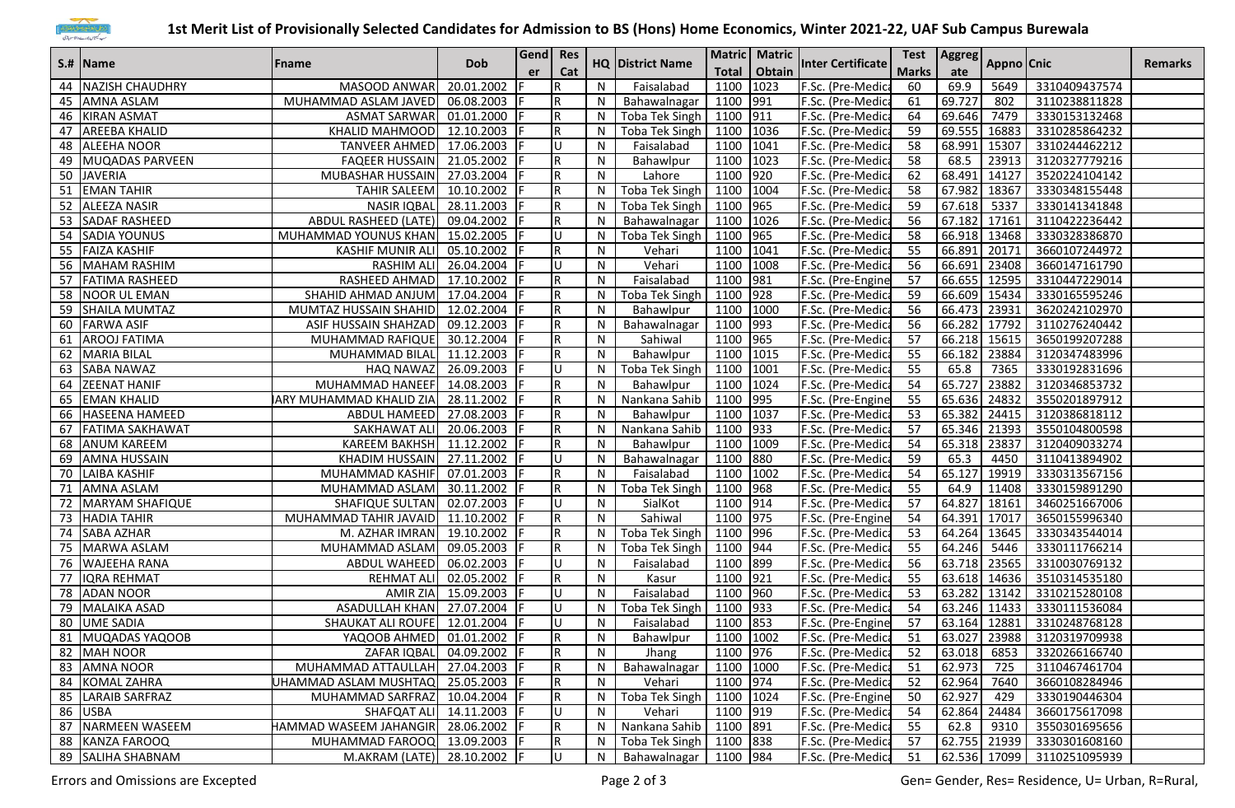

## **1st Merit List of Provisionally Selected Candidates for Admission to BS (Hons) Home Economics, Winter 2021-22, UAF Sub Campus Burewala**

|    | S.#  Name              | <b>Fname</b>                   |                            | Gend   Res<br>er |              |              |                         |              | Matric Matric |                          |              | Test   Aggreg | Appno Cnic |                            | <b>Remarks</b> |
|----|------------------------|--------------------------------|----------------------------|------------------|--------------|--------------|-------------------------|--------------|---------------|--------------------------|--------------|---------------|------------|----------------------------|----------------|
|    |                        |                                | <b>Dob</b>                 |                  | Cat          |              | <b>HQ District Name</b> | <b>Total</b> | Obtain        | <b>Inter Certificate</b> | <b>Marks</b> | ate           |            |                            |                |
|    | 44 NAZISH CHAUDHRY     | MASOOD ANWAR                   | 20.01.2002                 |                  | R            | N            | Faisalabad              | 1100         | 1023          | F.Sc. (Pre-Medica        | 60           | 69.9          | 5649       | 3310409437574              |                |
|    | 45 AMNA ASLAM          | MUHAMMAD ASLAM JAVED           | 06.08.2003                 |                  | R            | N            | Bahawalnagar            | 1100         | 991           | F.Sc. (Pre-Medic         | 61           | 69.727        | 802        | 3110238811828              |                |
|    | 46 KIRAN ASMAT         | <b>ASMAT SARWAR</b>            | 01.01.2000                 |                  | R            | N            | <b>Toba Tek Singh</b>   | 1100         | 911           | F.Sc. (Pre-Medic         | 64           | 69.646        | 7479       | 3330153132468              |                |
| 47 | <b>AREEBA KHALID</b>   | KHALID MAHMOOD                 | 12.10.2003                 |                  | $\mathsf R$  | N            | Toba Tek Singh          | 1100         | 1036          | F.Sc. (Pre-Medica        | 59           | 69.555        | 16883      | 3310285864232              |                |
|    | 48 ALEEHA NOOR         | <b>TANVEER AHMED</b>           | 17.06.2003                 |                  | U            | N            | Faisalabad              | 1100         | 1041          | F.Sc. (Pre-Medica        | 58           | 68.991        | 15307      | 3310244462212              |                |
|    | 49 MUQADAS PARVEEN     | <b>FAQEER HUSSAIN</b>          | 21.05.2002 F               |                  | R            | N            | Bahawlpur               | 1100         | 1023          | F.Sc. (Pre-Medica        | 58           | 68.5          | 23913      | 3120327779216              |                |
|    | 50 JAVERIA             | MUBASHAR HUSSAIN               | 27.03.2004                 |                  | R            | N            | Lahore                  | 1100         | 920           | F.Sc. (Pre-Medic         | 62           | 68.491        | 14127      | 3520224104142              |                |
|    | 51 EMAN TAHIR          | <b>TAHIR SALEEM</b>            | 10.10.2002                 |                  | R            | N            | Toba Tek Singh          | 1100 1004    |               | F.Sc. (Pre-Medica        | 58           | 67.982        | 18367      | 3330348155448              |                |
|    | 52 ALEEZA NASIR        | <b>NASIR IQBAL</b>             | 28.11.2003                 |                  | $\mathsf R$  | N            | Toba Tek Singh          | 1100         | 965           | F.Sc. (Pre-Medica        | 59           | 67.618        | 5337       | 3330141341848              |                |
|    | 53 SADAF RASHEED       | ABDUL RASHEED (LATE)           | 09.04.2002                 |                  | R            | N            | Bahawalnagar            | 1100         | 1026          | F.Sc. (Pre-Medica        | 56           | 67.182        | 17161      | 3110422236442              |                |
|    | 54 SADIA YOUNUS        | MUHAMMAD YOUNUS KHAN           | 15.02.2005                 |                  | ΙU           | N            | <b>Toba Tek Singh</b>   | 1100         | 965           | F.Sc. (Pre-Medic         | 58           | 66.918        | 13468      | 3330328386870              |                |
|    | 55 FAIZA KASHIF        | <b>KASHIF MUNIR ALI</b>        | 05.10.2002                 |                  | R            | N            | Vehari                  | 1100         | 1041          | F.Sc. (Pre-Medica        | 55           | 66.891        | 20171      | 3660107244972              |                |
|    | 56 MAHAM RASHIM        | <b>RASHIM ALI</b>              | 26.04.2004                 |                  | lU.          | N            | Vehari                  | 1100         | 1008          | F.Sc. (Pre-Medica        | 56           | 66.691        | 23408      | 3660147161790              |                |
| 57 | <b>FATIMA RASHEED</b>  | RASHEED AHMAD                  | 17.10.2002                 |                  | R            | N            | Faisalabad              | 1100         | 981           | F.Sc. (Pre-Engine        | 57           | 66.655        | 12595      | 3310447229014              |                |
|    | 58 NOOR UL EMAN        | SHAHID AHMAD ANJUM             | 17.04.2004                 |                  | R            | N            | <b>Toba Tek Singh</b>   | 1100         | 928           | F.Sc. (Pre-Medica        | 59           | 66.609        | 15434      | 3330165595246              |                |
|    | 59 SHAILA MUMTAZ       | MUMTAZ HUSSAIN SHAHID          | 12.02.2004                 |                  | R            | N            | Bahawlpur               | 1100         | 1000          | F.Sc. (Pre-Medica        | 56           | 66.473        | 23931      | 3620242102970              |                |
|    | 60 FARWA ASIF          | <b>ASIF HUSSAIN SHAHZAD</b>    | 09.12.2003                 |                  | R            | N            | Bahawalnagar            | 1100         | $ 993\rangle$ | F.Sc. (Pre-Medica        | 56           | 66.282 17792  |            | 3110276240442              |                |
|    | 61 AROOJ FATIMA        | MUHAMMAD RAFIQUE               | 30.12.2004                 |                  | R            | N            | Sahiwal                 | 1100         | 965           | F.Sc. (Pre-Medica        | 57           | 66.218        | 15615      | 3650199207288              |                |
|    | 62 MARIA BILAL         | MUHAMMAD BILAL                 | 11.12.2003                 |                  | R            | N            | Bahawlpur               | 1100         | 1015          | F.Sc. (Pre-Medic         | 55           | 66.182        | 23884      | 3120347483996              |                |
|    | 63 SABA NAWAZ          | <b>HAQ NAWAZ</b>               | $\overline{26.09}.2003$    |                  | lU.          | N            | <b>Toba Tek Singh</b>   | 1100         | 1001          | F.Sc. (Pre-Medica        | 55           | 65.8          | 7365       | 3330192831696              |                |
| 64 | <b>ZEENAT HANIF</b>    | MUHAMMAD HANEEF                | 14.08.2003                 |                  | ${\sf R}$    | N            | Bahawlpur               | 1100         | 1024          | F.Sc. (Pre-Medica        | 54           | 65.727        | 23882      | 3120346853732              |                |
| 65 | <b>EMAN KHALID</b>     | <b>ARY MUHAMMAD KHALID ZIA</b> | 28.11.2002                 |                  | R            | N            | Nankana Sahib           | 1100         | 995           | F.Sc. (Pre-Engine        | 55           | 65.636        | 24832      | 3550201897912              |                |
| 66 | HASEENA HAMEED         | ABDUL HAMEED                   | 27.08.2003                 |                  | ${\sf R}$    | N            | Bahawlpur               | 1100         | 1037          | F.Sc. (Pre-Medic         | 53           | 65.382        | 24415      | 3120386818112              |                |
| 67 | <b>FATIMA SAKHAWAT</b> | SAKHAWAT ALI                   | 20.06.2003                 |                  | R            | N            | Nankana Sahib           | 1100         | 933           | F.Sc. (Pre-Medic         | 57           | 65.346        | 21393      | 3550104800598              |                |
|    | 68 ANUM KAREEM         | <b>KAREEM BAKHSH</b>           | 11.12.2002                 |                  | ${\sf R}$    | N            | Bahawlpur               | 1100         | 1009          | F.Sc. (Pre-Medica        | 54           | 65.318        | 23837      | 3120409033274              |                |
|    | 69 AMNA HUSSAIN        | <b>KHADIM HUSSAIN</b>          | 27.11.2002                 |                  | lU.          | N            | Bahawalnagar            | 1100         | 880           | F.Sc. (Pre-Medica        | 59           | 65.3          | 4450       | 3110413894902              |                |
|    | 70 LAIBA KASHIF        | MUHAMMAD KASHIF                | 07.01.2003                 |                  | R            | N            | Faisalabad              | 1100         | 1002          | F.Sc. (Pre-Medic         | 54           | 65.127        | 19919      | 3330313567156              |                |
| 71 | AMNA ASLAM             | MUHAMMAD ASLAM                 | 30.11.2002                 |                  | R            | N            | Toba Tek Singh          | 1100         | 968           | F.Sc. (Pre-Medic         | 55           | 64.9          | 11408      | 3330159891290              |                |
|    | 72 MARYAM SHAFIQUE     | SHAFIQUE SULTAN                | 02.07.2003                 |                  | lU.          | N            | SialKot                 | 1100 914     |               | F.Sc. (Pre-Medica        | 57           | 64.827        | 18161      | 3460251667006              |                |
|    | 73 HADIA TAHIR         | MUHAMMAD TAHIR JAVAID          | 11.10.2002                 |                  | R            | N            | Sahiwal                 | 1100         | 975           | F.Sc. (Pre-Engine        | 54           | 64.391 17017  |            | 3650155996340              |                |
|    | 74 SABA AZHAR          | M. AZHAR IMRAN                 | 19.10.2002 F               |                  | R            | N            | Toba Tek Singh          | 1100         | 996           | F.Sc. (Pre-Medic         | 53           | 64.264 13645  |            | 3330343544014              |                |
| 75 | MARWA ASLAM            | MUHAMMAD ASLAM                 | 09.05.2003                 |                  | R            | N            | Toba Tek Singh          | 1100 944     |               | F.Sc. (Pre-Medic         | 55           | 64.246        | 5446       | 3330111766214              |                |
|    | 76 WAJEEHA RANA        | ABDUL WAHEED                   | 06.02.2003                 |                  | lU.          | N            | Faisalabad              | 1100         | 899           | F.Sc. (Pre-Medica        | 56           | 63.718 23565  |            | 3310030769132              |                |
|    | 77 IIQRA REHMAT        | <b>REHMAT ALI</b>              | 02.05.2002                 |                  | R            | N            | Kasur                   | 1100         | 921           | F.Sc. (Pre-Medica        | 55           | 63.618 14636  |            | 3510314535180              |                |
|    | 78 ADAN NOOR           | AMIR ZIA                       | 15.09.2003                 |                  | U            | N            | Faisalabad              | 1100         | 960           | F.Sc. (Pre-Medica        | 53           | 63.282        | 13142      | 3310215280108              |                |
| 79 | MALAIKA ASAD           | <b>ASADULLAH KHAN</b>          | 27.07.2004                 |                  | ΙU           | N            | <b>Toba Tek Singh</b>   | 1100         | 933           | F.Sc. (Pre-Medic         | 54           | 63.246        | 11433      | 3330111536084              |                |
|    | 80 UME SADIA           | SHAUKAT ALI ROUFE              | 12.01.2004                 |                  | $\mathbf{U}$ | N            | Faisalabad              | 1100         | 853           | F.Sc. (Pre-Engine        | 57           | 63.164        | 12881      | 3310248768128              |                |
|    | 81 MUQADAS YAQOOB      | YAQOOB AHMED 01.01.2002 F      |                            |                  | lR.          | N            | Bahawlpur               | 1100 1002    |               | F.Sc. (Pre-Medica        | 51           |               |            | 63.027 23988 3120319709938 |                |
|    | 82 MAH NOOR            |                                | ZAFAR IQBAL 04.09.2002   F |                  | IR.          | $\mathsf{N}$ | Jhang                   | 1100 976     |               | F.Sc. (Pre-Medica        | 52           | 63.018        | 6853       | 3320266166740              |                |
|    | 83 AMNA NOOR           | MUHAMMAD ATTAULLAH 27.04.2003  |                            |                  | R.           | N            | Bahawalnagar            | 1100 1000    |               | F.Sc. (Pre-Medica        | 51           | 62.973        | 725        | 3110467461704              |                |
|    | 84 KOMAL ZAHRA         | UHAMMAD ASLAM MUSHTAQ          | 25.05.2003                 |                  | $\mathsf R$  | N            | Vehari                  | 1100 974     |               | F.Sc. (Pre-Medica        | 52           | 62.964        | 7640       | 3660108284946              |                |
|    | 85   LARAIB SARFRAZ    | MUHAMMAD SARFRAZ 10.04.2004    |                            |                  | R            | N            | Toba Tek Singh          | 1100 1024    |               | F.Sc. (Pre-Engine        | 50           | 62.927        | 429        | 3330190446304              |                |
|    | 86 USBA                | SHAFQAT ALI 14.11.2003         |                            |                  | lU.          | ${\sf N}$    | Vehari                  | 1100         | 919           | F.Sc. (Pre-Medica        | 54           | 62.864        | 24484      | 3660175617098              |                |
|    | 87 NARMEEN WASEEM      | HAMMAD WASEEM JAHANGIR         | 28.06.2002                 |                  | R            | N            | Nankana Sahib           | 1100         | 891           | F.Sc. (Pre-Medica        | 55           | 62.8          | 9310       | 3550301695656              |                |
|    | 88 KANZA FAROOQ        | MUHAMMAD FAROOQ 13.09.2003     |                            |                  | $\mathsf R$  | N            | Toba Tek Singh          | 1100 838     |               | F.Sc. (Pre-Medica        | 57           | 62.755 21939  |            | 3330301608160              |                |
|    | 89 SALIHA SHABNAM      | M.AKRAM (LATE) 28.10.2002 F    |                            |                  | lU.          | N            | Bahawalnagar            | 1100 984     |               | F.Sc. (Pre-Medica        | 51           | 62.536 17099  |            | 3110251095939              |                |